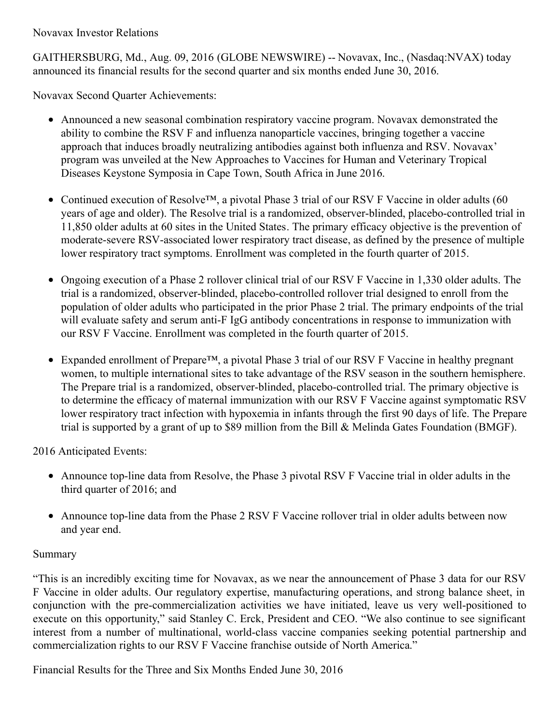Novavax Investor Relations

GAITHERSBURG, Md., Aug. 09, 2016 (GLOBE NEWSWIRE) -- Novavax, Inc., (Nasdaq:NVAX) today announced its financial results for the second quarter and six months ended June 30, 2016.

Novavax Second Quarter Achievements:

- Announced a new seasonal combination respiratory vaccine program. Novavax demonstrated the ability to combine the RSV F and influenza nanoparticle vaccines, bringing together a vaccine approach that induces broadly neutralizing antibodies against both influenza and RSV. Novavax' program was unveiled at the New Approaches to Vaccines for Human and Veterinary Tropical Diseases Keystone Symposia in Cape Town, South Africa in June 2016.
- Continued execution of Resolve™, a pivotal Phase 3 trial of our RSV F Vaccine in older adults (60 years of age and older). The Resolve trial is a randomized, observer-blinded, placebo-controlled trial in 11,850 older adults at 60 sites in the United States. The primary efficacy objective is the prevention of moderate-severe RSV-associated lower respiratory tract disease, as defined by the presence of multiple lower respiratory tract symptoms. Enrollment was completed in the fourth quarter of 2015.
- Ongoing execution of a Phase 2 rollover clinical trial of our RSV F Vaccine in 1,330 older adults. The trial is a randomized, observer-blinded, placebo-controlled rollover trial designed to enroll from the population of older adults who participated in the prior Phase 2 trial. The primary endpoints of the trial will evaluate safety and serum anti-F IgG antibody concentrations in response to immunization with our RSV F Vaccine. Enrollment was completed in the fourth quarter of 2015.
- Expanded enrollment of Prepare™, a pivotal Phase 3 trial of our RSV F Vaccine in healthy pregnant women, to multiple international sites to take advantage of the RSV season in the southern hemisphere. The Prepare trial is a randomized, observer-blinded, placebo-controlled trial. The primary objective is to determine the efficacy of maternal immunization with our RSV F Vaccine against symptomatic RSV lower respiratory tract infection with hypoxemia in infants through the first 90 days of life. The Prepare trial is supported by a grant of up to \$89 million from the Bill & Melinda Gates Foundation (BMGF).

2016 Anticipated Events:

- Announce top-line data from Resolve, the Phase 3 pivotal RSV F Vaccine trial in older adults in the third quarter of 2016; and
- Announce top-line data from the Phase 2 RSV F Vaccine rollover trial in older adults between now and year end.

# Summary

"This is an incredibly exciting time for Novavax, as we near the announcement of Phase 3 data for our RSV F Vaccine in older adults. Our regulatory expertise, manufacturing operations, and strong balance sheet, in conjunction with the pre-commercialization activities we have initiated, leave us very well-positioned to execute on this opportunity," said Stanley C. Erck, President and CEO. "We also continue to see significant interest from a number of multinational, world-class vaccine companies seeking potential partnership and commercialization rights to our RSV F Vaccine franchise outside of North America."

Financial Results for the Three and Six Months Ended June 30, 2016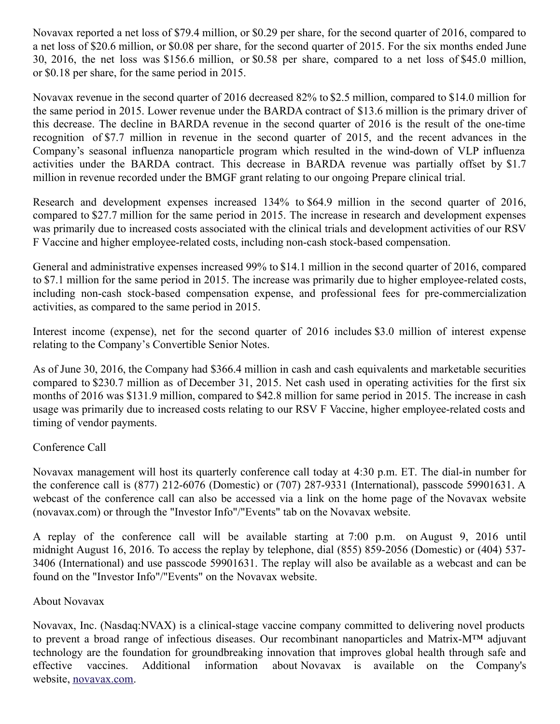Novavax reported a net loss of \$79.4 million, or \$0.29 per share, for the second quarter of 2016, compared to a net loss of \$20.6 million, or \$0.08 per share, for the second quarter of 2015. For the six months ended June 30, 2016, the net loss was \$156.6 million, or \$0.58 per share, compared to a net loss of \$45.0 million, or \$0.18 per share, for the same period in 2015.

Novavax revenue in the second quarter of 2016 decreased 82% to \$2.5 million, compared to \$14.0 million for the same period in 2015. Lower revenue under the BARDA contract of \$13.6 million is the primary driver of this decrease. The decline in BARDA revenue in the second quarter of 2016 is the result of the one-time recognition of \$7.7 million in revenue in the second quarter of 2015, and the recent advances in the Company's seasonal influenza nanoparticle program which resulted in the wind-down of VLP influenza activities under the BARDA contract. This decrease in BARDA revenue was partially offset by \$1.7 million in revenue recorded under the BMGF grant relating to our ongoing Prepare clinical trial.

Research and development expenses increased 134% to \$64.9 million in the second quarter of 2016, compared to \$27.7 million for the same period in 2015. The increase in research and development expenses was primarily due to increased costs associated with the clinical trials and development activities of our RSV F Vaccine and higher employee-related costs, including non-cash stock-based compensation.

General and administrative expenses increased 99% to \$14.1 million in the second quarter of 2016, compared to \$7.1 million for the same period in 2015. The increase was primarily due to higher employee-related costs, including non-cash stock-based compensation expense, and professional fees for pre-commercialization activities, as compared to the same period in 2015.

Interest income (expense), net for the second quarter of 2016 includes \$3.0 million of interest expense relating to the Company's Convertible Senior Notes.

As of June 30, 2016, the Company had \$366.4 million in cash and cash equivalents and marketable securities compared to \$230.7 million as of December 31, 2015. Net cash used in operating activities for the first six months of 2016 was \$131.9 million, compared to \$42.8 million for same period in 2015. The increase in cash usage was primarily due to increased costs relating to our RSV F Vaccine, higher employee-related costs and timing of vendor payments.

## Conference Call

Novavax management will host its quarterly conference call today at 4:30 p.m. ET. The dial-in number for the conference call is (877) 212-6076 (Domestic) or (707) 287-9331 (International), passcode 59901631. A webcast of the conference call can also be accessed via a link on the home page of the Novavax website (novavax.com) or through the "Investor Info"/"Events" tab on the Novavax website.

A replay of the conference call will be available starting at 7:00 p.m. on August 9, 2016 until midnight August 16, 2016. To access the replay by telephone, dial (855) 859-2056 (Domestic) or (404) 537- 3406 (International) and use passcode 59901631. The replay will also be available as a webcast and can be found on the "Investor Info"/"Events" on the Novavax website.

## About Novavax

Novavax, Inc. (Nasdaq:NVAX) is a clinical-stage vaccine company committed to delivering novel products to prevent a broad range of infectious diseases. Our recombinant nanoparticles and Matrix-M™ adjuvant technology are the foundation for groundbreaking innovation that improves global health through safe and effective vaccines. Additional information about Novavax is available on the Company's website, [novavax.com](https://www.globenewswire.com/Tracker?data=EWExA2sjujhhDgShbQIXQT7ckjOmM1ebnO11M3j3Amf-9pyD5Z-xNjBK07q7WZgSjpY62kStxBYNWi5PGAufkA==).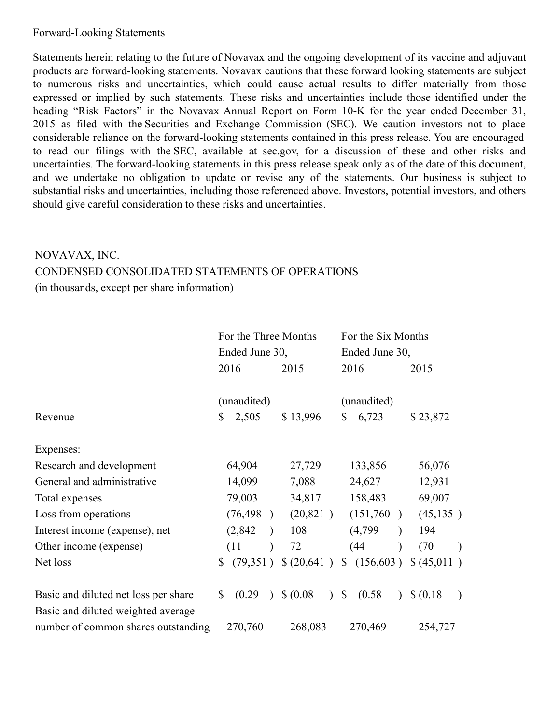#### Forward-Looking Statements

Statements herein relating to the future of Novavax and the ongoing development of its vaccine and adjuvant products are forward-looking statements. Novavax cautions that these forward looking statements are subject to numerous risks and uncertainties, which could cause actual results to differ materially from those expressed or implied by such statements. These risks and uncertainties include those identified under the heading "Risk Factors" in the Novavax Annual Report on Form 10-K for the year ended December 31, 2015 as filed with the Securities and Exchange Commission (SEC). We caution investors not to place considerable reliance on the forward-looking statements contained in this press release. You are encouraged to read our filings with the SEC, available at sec.gov, for a discussion of these and other risks and uncertainties. The forward-looking statements in this press release speak only as of the date of this document, and we undertake no obligation to update or revise any of the statements. Our business is subject to substantial risks and uncertainties, including those referenced above. Investors, potential investors, and others should give careful consideration to these risks and uncertainties.

# NOVAVAX, INC. CONDENSED CONSOLIDATED STATEMENTS OF OPERATIONS (in thousands, except per share information)

|                                      | For the Three Months |           | For the Six Months |                            |              |             |               |             |           |
|--------------------------------------|----------------------|-----------|--------------------|----------------------------|--------------|-------------|---------------|-------------|-----------|
|                                      | Ended June 30,       |           |                    | Ended June 30,             |              |             |               |             |           |
|                                      |                      | 2016      |                    | 2015                       |              | 2016        |               | 2015        |           |
|                                      | (unaudited)          |           | (unaudited)        |                            |              |             |               |             |           |
| Revenue                              | \$                   | 2,505     |                    | \$13,996                   | \$           | 6,723       |               | \$23,872    |           |
| Expenses:                            |                      |           |                    |                            |              |             |               |             |           |
| Research and development             |                      | 64,904    |                    | 27,729                     |              | 133,856     |               | 56,076      |           |
| General and administrative           |                      | 14,099    |                    | 7,088                      |              | 24,627      |               | 12,931      |           |
| Total expenses                       |                      | 79,003    |                    | 34,817                     |              | 158,483     |               | 69,007      |           |
| Loss from operations                 |                      | (76, 498) | $\lambda$          | (20, 821)                  |              | (151,760)   | $\lambda$     | (45, 135)   |           |
| Interest income (expense), net       |                      | (2,842)   |                    | 108                        |              | (4,799)     | $\mathcal{E}$ | 194         |           |
| Other income (expense)               |                      | (11)      |                    | 72                         |              | (44)        |               | (70)        | $\lambda$ |
| Net loss                             | \$                   | (79,351)  |                    | \$ (20,641)                |              | \$(156,603) |               | \$ (45,011) |           |
| Basic and diluted net loss per share | $\mathbb{S}$         | (0.29)    | $\lambda$          | \$ (0.08)<br>$\mathcal{L}$ | $\mathbb{S}$ | (0.58)      | $\mathcal{L}$ | \$ (0.18)   | $\lambda$ |
| Basic and diluted weighted average   |                      |           |                    |                            |              |             |               |             |           |
| number of common shares outstanding  |                      | 270,760   |                    | 268,083                    |              | 270,469     |               | 254,727     |           |